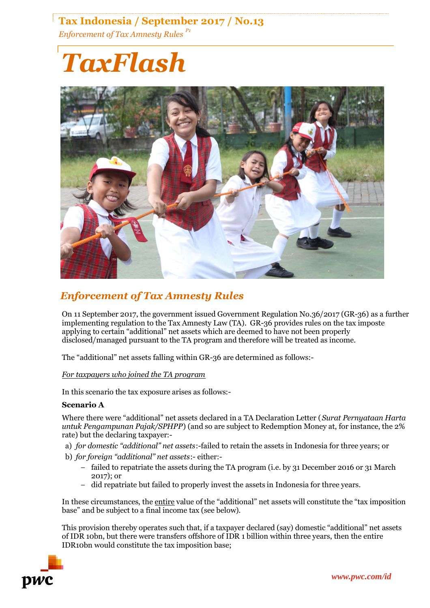## **Tax Indonesia / September 2017 / No.13** *Enforcement of Tax Amnesty Rules P1*

# *TaxFlash*



### *Enforcement of Tax Amnesty Rules*

On 11 September 2017, the government issued Government Regulation No.36/2017 (GR-36) as a further implementing regulation to the Tax Amnesty Law (TA). GR-36 provides rules on the tax imposte applying to certain "additional" net assets which are deemed to have not been properly disclosed/managed pursuant to the TA program and therefore will be treated as income.

The "additional" net assets falling within GR-36 are determined as follows:-

#### *For taxpayers who joined the TA program*

In this scenario the tax exposure arises as follows:-

#### **Scenario A**

Where there were "additional" net assets declared in a TA Declaration Letter (*Surat Pernyataan Harta untuk Pengampunan Pajak/SPHPP*) (and so are subject to Redemption Money at, for instance, the 2% rate) but the declaring taxpayer:-

a) *for domestic "additional" net assets*:-failed to retain the assets in Indonesia for three years; or

b) *for foreign "additional" net assets*:- either:-

- − failed to repatriate the assets during the TA program (i.e. by 31 December 2016 or 31 March 2017); or
- − did repatriate but failed to properly invest the assets in Indonesia for three years.

In these circumstances, the entire value of the "additional" net assets will constitute the "tax imposition base" and be subject to a final income tax (see below).

This provision thereby operates such that, if a taxpayer declared (say) domestic "additional" net assets of IDR 10bn, but there were transfers offshore of IDR 1 billion within three years, then the entire IDR10bn would constitute the tax imposition base;

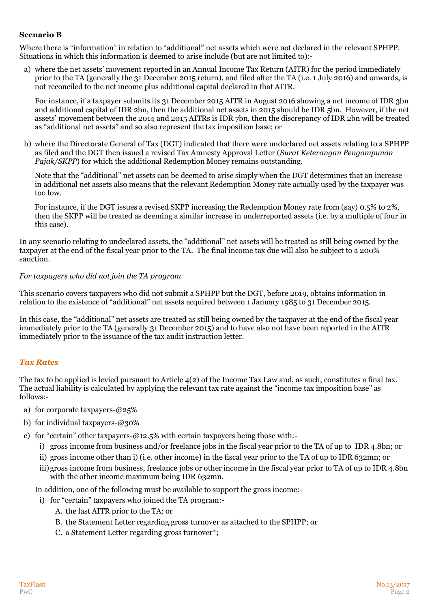#### **Scenario B**

Where there is "information" in relation to "additional" net assets which were not declared in the relevant SPHPP. Situations in which this information is deemed to arise include (but are not limited to):-

a) where the net assets' movement reported in an Annual Income Tax Return (AITR) for the period immediately prior to the TA (generally the 31 December 2015 return), and filed after the TA (i.e. 1 July 2016) and onwards, is not reconciled to the net income plus additional capital declared in that AITR.

For instance, if a taxpayer submits its 31 December 2015 AITR in August 2016 showing a net income of IDR 3bn and additional capital of IDR 2bn, then the additional net assets in 2015 should be IDR 5bn. However, if the net assets' movement between the 2014 and 2015 AITRs is IDR 7bn, then the discrepancy of IDR 2bn will be treated as "additional net assets" and so also represent the tax imposition base; or

b) where the Directorate General of Tax (DGT) indicated that there were undeclared net assets relating to a SPHPP as filed and the DGT then issued a revised Tax Amnesty Approval Letter (*Surat Keterangan Pengampunan Pajak/SKPP*) for which the additional Redemption Money remains outstanding.

Note that the "additional" net assets can be deemed to arise simply when the DGT determines that an increase in additional net assets also means that the relevant Redemption Money rate actually used by the taxpayer was too low.

For instance, if the DGT issues a revised SKPP increasing the Redemption Money rate from (say) 0.5% to 2%, then the SKPP will be treated as deeming a similar increase in underreported assets (i.e. by a multiple of four in this case).

In any scenario relating to undeclared assets, the "additional" net assets will be treated as still being owned by the taxpayer at the end of the fiscal year prior to the TA. The final income tax due will also be subject to a 200% sanction.

#### *For taxpayers who did not join the TA program*

This scenario covers taxpayers who did not submit a SPHPP but the DGT, before 2019, obtains information in relation to the existence of "additional" net assets acquired between 1 January 1985 to 31 December 2015.

In this case, the "additional" net assets are treated as still being owned by the taxpayer at the end of the fiscal year immediately prior to the TA (generally 31 December 2015) and to have also not have been reported in the AITR immediately prior to the issuance of the tax audit instruction letter.

#### *Tax Rates*

The tax to be applied is levied pursuant to Article 4(2) of the Income Tax Law and, as such, constitutes a final tax. The actual liability is calculated by applying the relevant tax rate against the "income tax imposition base" as follows:-

- a) for corporate taxpayers-@25%
- b) for individual taxpayers-@30%

c) for "certain" other taxpayers-@12.5% with certain taxpayers being those with:-

- i) gross income from business and/or freelance jobs in the fiscal year prior to the TA of up to IDR 4.8bn; or
- ii) gross income other than i) (i.e. other income) in the fiscal year prior to the TA of up to IDR 632mn; or
- iii)gross income from business, freelance jobs or other income in the fiscal year prior to TA of up to IDR 4.8bn with the other income maximum being IDR 632mn.

In addition, one of the following must be available to support the gross income:-

- i) for "certain" taxpayers who joined the TA program:-
	- A. the last AITR prior to the TA; or
	- B. the Statement Letter regarding gross turnover as attached to the SPHPP; or
	- C. a Statement Letter regarding gross turnover\*;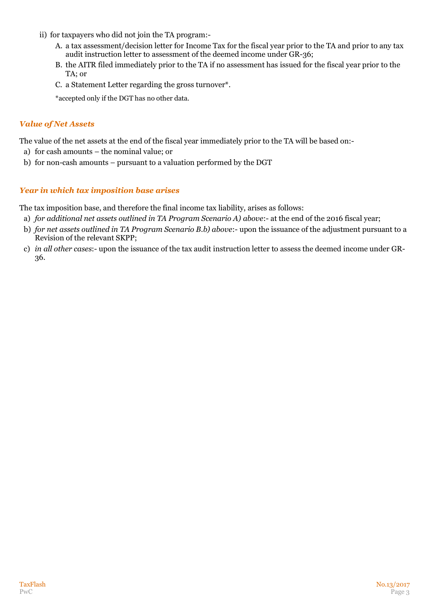- ii) for taxpayers who did not join the TA program:-
	- A. a tax assessment/decision letter for Income Tax for the fiscal year prior to the TA and prior to any tax audit instruction letter to assessment of the deemed income under GR-36;
	- B. the AITR filed immediately prior to the TA if no assessment has issued for the fiscal year prior to the TA; or
	- C. a Statement Letter regarding the gross turnover\*.

\*accepted only if the DGT has no other data.

#### *Value of Net Assets*

The value of the net assets at the end of the fiscal year immediately prior to the TA will be based on:-

- a) for cash amounts the nominal value; or
- b) for non-cash amounts pursuant to a valuation performed by the DGT

#### *Year in which tax imposition base arises*

The tax imposition base, and therefore the final income tax liability, arises as follows:

- a) *for additional net assets outlined in TA Program Scenario A) above*:- at the end of the 2016 fiscal year;
- b) *for net assets outlined in TA Program Scenario B.b) above*:- upon the issuance of the adjustment pursuant to a Revision of the relevant SKPP;
- c) *in all other cases*:- upon the issuance of the tax audit instruction letter to assess the deemed income under GR-36.